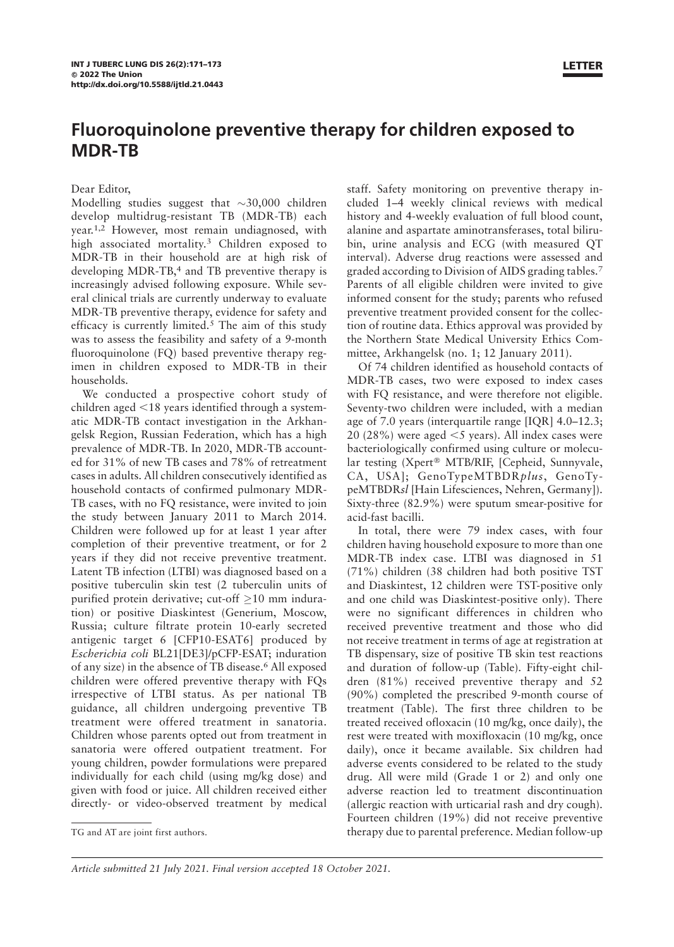## Fluoroquinolone preventive therapy for children exposed to MDR-TB

## Dear Editor,

Modelling studies suggest that  $\sim$ 30,000 children develop multidrug-resistant TB (MDR-TB) each year.1,2 However, most remain undiagnosed, with high associated mortality.<sup>3</sup> Children exposed to MDR-TB in their household are at high risk of developing MDR-TB,<sup>4</sup> and TB preventive therapy is increasingly advised following exposure. While several clinical trials are currently underway to evaluate MDR-TB preventive therapy, evidence for safety and efficacy is currently limited.<sup>5</sup> The aim of this study was to assess the feasibility and safety of a 9-month fluoroquinolone (FQ) based preventive therapy regimen in children exposed to MDR-TB in their households.

We conducted a prospective cohort study of children aged  $<$ 18 years identified through a systematic MDR-TB contact investigation in the Arkhangelsk Region, Russian Federation, which has a high prevalence of MDR-TB. In 2020, MDR-TB accounted for 31% of new TB cases and 78% of retreatment cases in adults. All children consecutively identified as household contacts of confirmed pulmonary MDR-TB cases, with no FQ resistance, were invited to join the study between January 2011 to March 2014. Children were followed up for at least 1 year after completion of their preventive treatment, or for 2 years if they did not receive preventive treatment. Latent TB infection (LTBI) was diagnosed based on a positive tuberculin skin test (2 tuberculin units of purified protein derivative; cut-off  $\geq$ 10 mm induration) or positive Diaskintest (Generium, Moscow, Russia; culture filtrate protein 10-early secreted antigenic target 6 [CFP10-ESAT6] produced by Escherichia coli BL21[DE3]/pCFP-ESAT; induration of any size) in the absence of TB disease.<sup>6</sup> All exposed children were offered preventive therapy with FQs irrespective of LTBI status. As per national TB guidance, all children undergoing preventive TB treatment were offered treatment in sanatoria. Children whose parents opted out from treatment in sanatoria were offered outpatient treatment. For young children, powder formulations were prepared individually for each child (using mg/kg dose) and given with food or juice. All children received either directly- or video-observed treatment by medical LETTER

staff. Safety monitoring on preventive therapy included 1–4 weekly clinical reviews with medical history and 4-weekly evaluation of full blood count, alanine and aspartate aminotransferases, total bilirubin, urine analysis and ECG (with measured QT interval). Adverse drug reactions were assessed and graded according to Division of AIDS grading tables.<sup>7</sup> Parents of all eligible children were invited to give informed consent for the study; parents who refused preventive treatment provided consent for the collection of routine data. Ethics approval was provided by the Northern State Medical University Ethics Committee, Arkhangelsk (no. 1; 12 January 2011).

Of 74 children identified as household contacts of MDR-TB cases, two were exposed to index cases with FQ resistance, and were therefore not eligible. Seventy-two children were included, with a median age of 7.0 years (interquartile range [IQR] 4.0–12.3; 20 (28%) were aged  $\leq$ 5 years). All index cases were bacteriologically confirmed using culture or molecular testing (Xpert® MTB/RIF, [Cepheid, Sunnyvale, CA, USA]; GenoTypeMTBDRplus, GenoTypeMTBDRsl [Hain Lifesciences, Nehren, Germany]). Sixty-three (82.9%) were sputum smear-positive for acid-fast bacilli.

In total, there were 79 index cases, with four children having household exposure to more than one MDR-TB index case. LTBI was diagnosed in 51 (71%) children (38 children had both positive TST and Diaskintest, 12 children were TST-positive only and one child was Diaskintest-positive only). There were no significant differences in children who received preventive treatment and those who did not receive treatment in terms of age at registration at TB dispensary, size of positive TB skin test reactions and duration of follow-up (Table). Fifty-eight children (81%) received preventive therapy and 52 (90%) completed the prescribed 9-month course of treatment (Table). The first three children to be treated received ofloxacin (10 mg/kg, once daily), the rest were treated with moxifloxacin (10 mg/kg, once daily), once it became available. Six children had adverse events considered to be related to the study drug. All were mild (Grade 1 or 2) and only one adverse reaction led to treatment discontinuation (allergic reaction with urticarial rash and dry cough). Fourteen children (19%) did not receive preventive TG and AT are joint first authors. therapy due to parental preference. Median follow-up

Article submitted 21 July 2021. Final version accepted 18 October 2021.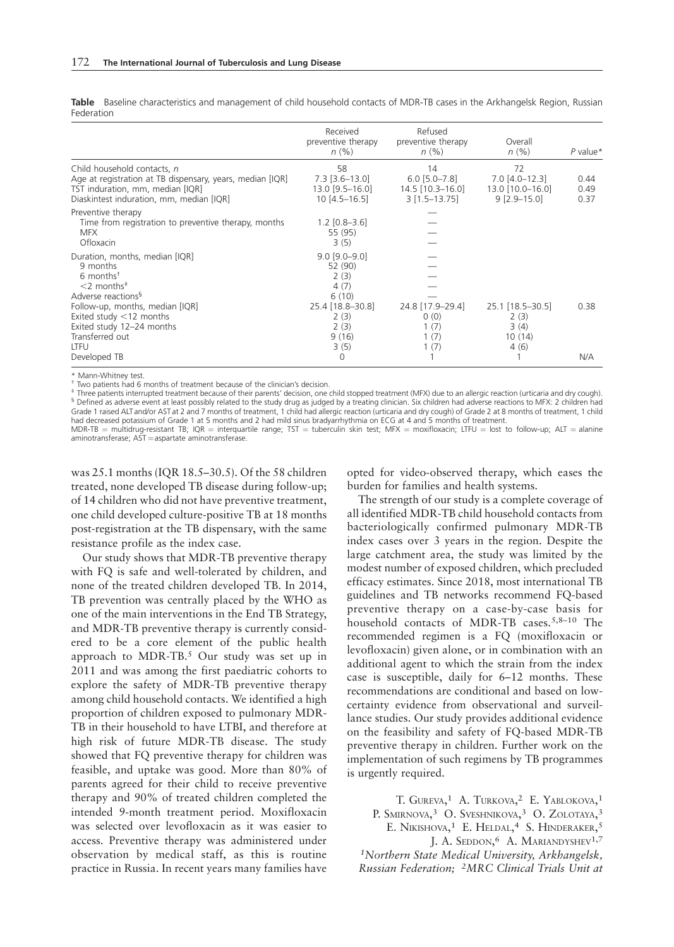Table Baseline characteristics and management of child household contacts of MDR-TB cases in the Arkhangelsk Region, Russian Federation

|                                                                                                                                                                          | Received<br>preventive therapy<br>n(% )                         | Refused<br>preventive therapy<br>n(% )                       | Overall<br>n(%)                                                | $P$ value*           |
|--------------------------------------------------------------------------------------------------------------------------------------------------------------------------|-----------------------------------------------------------------|--------------------------------------------------------------|----------------------------------------------------------------|----------------------|
| Child household contacts, n<br>Age at registration at TB dispensary, years, median [IQR]<br>TST induration, mm, median [IQR]<br>Diaskintest induration, mm, median [IQR] | 58<br>$7.3$ [3.6-13.0]<br>$13.0$ [9.5-16.0]<br>$10[4.5 - 16.5]$ | 14<br>$6.0$ [5.0-7.8]<br>14.5 [10.3-16.0]<br>$3$ [1.5-13.75] | 72<br>$7.0$ [4.0-12.3]<br>$13.0$ [10.0-16.0]<br>$9$ [2.9-15.0] | 0.44<br>0.49<br>0.37 |
| Preventive therapy<br>Time from registration to preventive therapy, months<br><b>MFX</b><br>Ofloxacin                                                                    | $1.2$ [0.8–3.6]<br>55 (95)<br>3(5)                              |                                                              |                                                                |                      |
| Duration, months, median [IQR]<br>9 months<br>$6$ months <sup><math>†</math></sup><br>$<$ 2 months <sup><math>\pm</math></sup><br>Adverse reactions <sup>§</sup>         | $9.0$ [9.0-9.0]<br>52 (90)<br>2(3)<br>4(7)<br>6(10)             |                                                              |                                                                |                      |
| Follow-up, months, median [IQR]<br>Exited study $<$ 12 months<br>Exited study 12-24 months<br>Transferred out<br>LTFU                                                    | 25.4 [18.8-30.8]<br>2(3)<br>2(3)<br>9(16)<br>3(5)               | 24.8 [17.9-29.4]<br>0(0)<br>1 (7)<br>1 (7)<br>1 (7)          | 25.1 [18.5-30.5]<br>2(3)<br>3(4)<br>10(14)<br>4(6)             | 0.38                 |
| Developed TB                                                                                                                                                             | $\Omega$                                                        |                                                              |                                                                | N/A                  |

\* Mann-Whitney test.<br><sup>†</sup> Two patients had 6 months of treatment because of the clinician's decision.

‡ Three patients interrupted treatment because of their parents' decision, one child stopped treatment (MFX) due to an allergic reaction (urticaria and dry cough).<br><sup>§</sup> Defined as adverse event at least possibly related to Grade 1 raised ALT and/or AST at 2 and 7 months of treatment, 1 child had allergic reaction (urticaria and dry cough) of Grade 2 at 8 months of treatment, 1 child<br>had decreased potassium of Grade 1 at 5 months and 2 had mi

MDR-TB = multidrug-resistant TB; IQR = interquartile range; TST = tuberculin skin test; MFX = moxifloxacin; LTFU = lost to follow-up; ALT = alanine aminotransferase; AST = aspartate aminotransferase.

was 25.1 months (IQR 18.5–30.5). Of the 58 children treated, none developed TB disease during follow-up; of 14 children who did not have preventive treatment, one child developed culture-positive TB at 18 months post-registration at the TB dispensary, with the same resistance profile as the index case.

Our study shows that MDR-TB preventive therapy with FQ is safe and well-tolerated by children, and none of the treated children developed TB. In 2014, TB prevention was centrally placed by the WHO as one of the main interventions in the End TB Strategy, and MDR-TB preventive therapy is currently considered to be a core element of the public health approach to MDR-TB.<sup>5</sup> Our study was set up in 2011 and was among the first paediatric cohorts to explore the safety of MDR-TB preventive therapy among child household contacts. We identified a high proportion of children exposed to pulmonary MDR-TB in their household to have LTBI, and therefore at high risk of future MDR-TB disease. The study showed that FQ preventive therapy for children was feasible, and uptake was good. More than 80% of parents agreed for their child to receive preventive therapy and 90% of treated children completed the intended 9-month treatment period. Moxifloxacin was selected over levofloxacin as it was easier to access. Preventive therapy was administered under observation by medical staff, as this is routine practice in Russia. In recent years many families have opted for video-observed therapy, which eases the burden for families and health systems.

The strength of our study is a complete coverage of all identified MDR-TB child household contacts from bacteriologically confirmed pulmonary MDR-TB index cases over 3 years in the region. Despite the large catchment area, the study was limited by the modest number of exposed children, which precluded efficacy estimates. Since 2018, most international TB guidelines and TB networks recommend FQ-based preventive therapy on a case-by-case basis for household contacts of MDR-TB cases.<sup>5,8-10</sup> The recommended regimen is a FQ (moxifloxacin or levofloxacin) given alone, or in combination with an additional agent to which the strain from the index case is susceptible, daily for 6–12 months. These recommendations are conditional and based on lowcertainty evidence from observational and surveillance studies. Our study provides additional evidence on the feasibility and safety of FQ-based MDR-TB preventive therapy in children. Further work on the implementation of such regimens by TB programmes is urgently required.

T. GUREVA,<sup>1</sup> A. TURKOVA,<sup>2</sup> E. YABLOKOVA,<sup>1</sup> P. SMIRNOVA,<sup>3</sup> O. Sveshnikova,<sup>3</sup> O. Zolotaya,<sup>3</sup> E. NIKISHOVA,<sup>1</sup> E. HELDAL,<sup>4</sup> S. HINDERAKER,<sup>5</sup> J. A. SEDDON,<sup>6</sup> A. MARIANDYSHEV<sup>1,7</sup> 1Northern State Medical University, Arkhangelsk, Russian Federation; 2MRC Clinical Trials Unit at